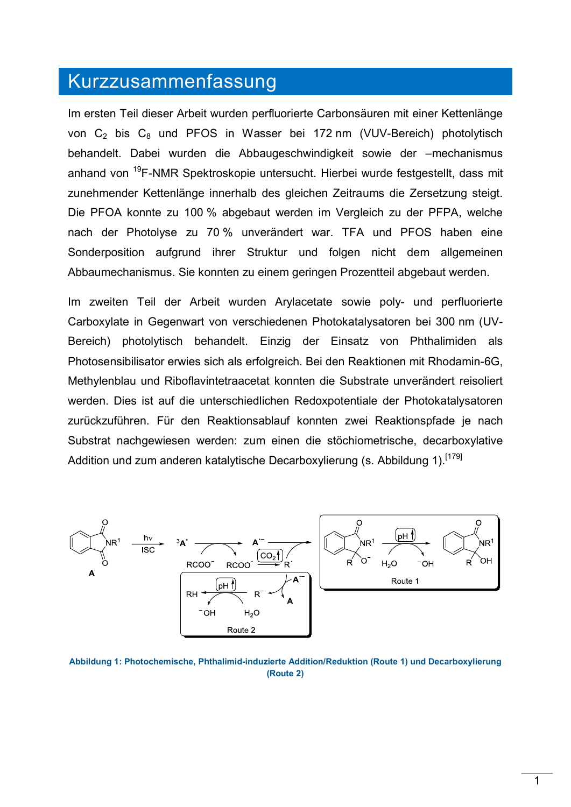## Kurzzusammenfassung

Im ersten Teil dieser Arbeit wurden perfluorierte Carbonsäuren mit einer Kettenlänge von  $C_2$  bis  $C_8$  und PFOS in Wasser bei 172 nm (VUV-Bereich) photolytisch behandelt. Dabei wurden die Abbaugeschwindigkeit sowie der –mechanismus anhand von <sup>19</sup>F-NMR Spektroskopie untersucht. Hierbei wurde festgestellt, dass mit zunehmender Kettenlänge innerhalb des gleichen Zeitraums die Zersetzung steigt. Die PFOA konnte zu 100 % abgebaut werden im Vergleich zu der PFPA, welche nach der Photolyse zu 70 % unverändert war. TFA und PFOS haben eine Sonderposition aufgrund ihrer Struktur und folgen nicht dem allgemeinen Abbaumechanismus. Sie konnten zu einem geringen Prozentteil abgebaut werden.

Im zweiten Teil der Arbeit wurden Arylacetate sowie poly- und perfluorierte Carboxylate in Gegenwart von verschiedenen Photokatalysatoren bei 300 nm (UV-Bereich) photolytisch behandelt. Einzig der Einsatz von Phthalimiden als Photosensibilisator erwies sich als erfolgreich. Bei den Reaktionen mit Rhodamin-6G, Methylenblau und Riboflavintetraacetat konnten die Substrate unverändert reisoliert werden. Dies ist auf die unterschiedlichen Redoxpotentiale der Photokatalysatoren zurückzuführen. Für den Reaktionsablauf konnten zwei Reaktionspfade je nach Substrat nachgewiesen werden: zum einen die stöchiometrische, decarboxylative Addition und zum anderen katalytische Decarboxylierung (s. Abbildung 1).<sup>[179]</sup>



**Abbildung 1: Photochemische, Phthalimid-induzierte Addition/Reduktion (Route 1) und Decarboxylierung (Route 2)**